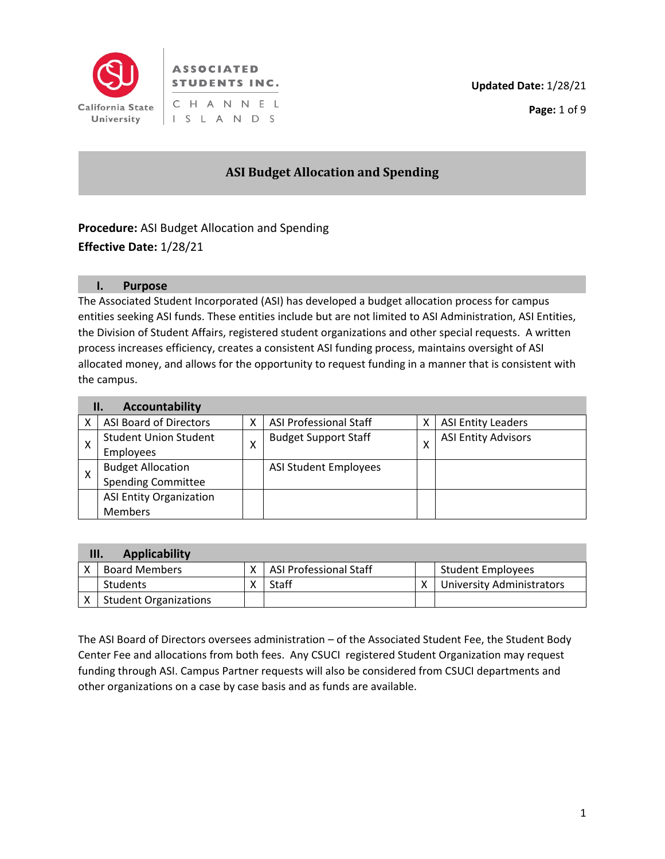

## **ASSOCIATED STUDENTS INC.** CHANNEL I S L A N D S

# **ASI Budget Allocation and Spending**

**Procedure:** ASI Budget Allocation and Spending **Effective Date:** 1/28/21

#### **I. Purpose**

The Associated Student Incorporated (ASI) has developed a budget allocation process for campus entities seeking ASI funds. These entities include but are not limited to ASI Administration, ASI Entities, the Division of Student Affairs, registered student organizations and other special requests. A written process increases efficiency, creates a consistent ASI funding process, maintains oversight of ASI allocated money, and allows for the opportunity to request funding in a manner that is consistent with the campus.

| Accountability<br>П. |                                |  |                               |   |                            |  |  |  |
|----------------------|--------------------------------|--|-------------------------------|---|----------------------------|--|--|--|
|                      | ASI Board of Directors         |  | <b>ASI Professional Staff</b> | х | <b>ASI Entity Leaders</b>  |  |  |  |
| Χ                    | <b>Student Union Student</b>   |  | <b>Budget Support Staff</b>   | x | <b>ASI Entity Advisors</b> |  |  |  |
|                      | <b>Employees</b>               |  |                               |   |                            |  |  |  |
|                      | <b>Budget Allocation</b>       |  | <b>ASI Student Employees</b>  |   |                            |  |  |  |
|                      | <b>Spending Committee</b>      |  |                               |   |                            |  |  |  |
|                      | <b>ASI Entity Organization</b> |  |                               |   |                            |  |  |  |
|                      | <b>Members</b>                 |  |                               |   |                            |  |  |  |

| <b>Applicability</b><br>III. |                              |  |                        |  |                                  |  |  |  |
|------------------------------|------------------------------|--|------------------------|--|----------------------------------|--|--|--|
|                              | <b>Board Members</b>         |  | ASI Professional Staff |  | <b>Student Employees</b>         |  |  |  |
|                              | Students                     |  | Staff                  |  | <b>University Administrators</b> |  |  |  |
|                              | <b>Student Organizations</b> |  |                        |  |                                  |  |  |  |

The ASI Board of Directors oversees administration – of the Associated Student Fee, the Student Body Center Fee and allocations from both fees. Any CSUCI registered Student Organization may request funding through ASI. Campus Partner requests will also be considered from CSUCI departments and other organizations on a case by case basis and as funds are available.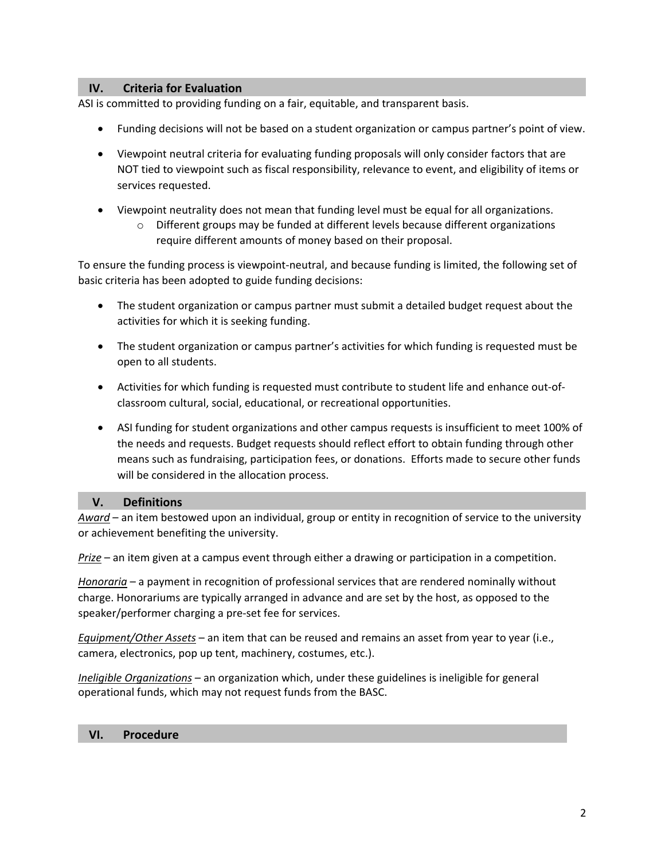#### **IV. Criteria for Evaluation**

ASI is committed to providing funding on a fair, equitable, and transparent basis.

- Funding decisions will not be based on a student organization or campus partner's point of view.
- Viewpoint neutral criteria for evaluating funding proposals will only consider factors that are NOT tied to viewpoint such as fiscal responsibility, relevance to event, and eligibility of items or services requested.
- Viewpoint neutrality does not mean that funding level must be equal for all organizations.
	- o Different groups may be funded at different levels because different organizations require different amounts of money based on their proposal.

To ensure the funding process is viewpoint-neutral, and because funding is limited, the following set of basic criteria has been adopted to guide funding decisions:

- The student organization or campus partner must submit a detailed budget request about the activities for which it is seeking funding.
- The student organization or campus partner's activities for which funding is requested must be open to all students.
- Activities for which funding is requested must contribute to student life and enhance out-ofclassroom cultural, social, educational, or recreational opportunities.
- ASI funding for student organizations and other campus requests is insufficient to meet 100% of the needs and requests. Budget requests should reflect effort to obtain funding through other means such as fundraising, participation fees, or donations. Efforts made to secure other funds will be considered in the allocation process.

#### **V. Definitions**

*Award* – an item bestowed upon an individual, group or entity in recognition of service to the university or achievement benefiting the university.

*Prize* – an item given at a campus event through either a drawing or participation in a competition.

*Honoraria* – a payment in recognition of professional services that are rendered nominally without charge. Honorariums are typically arranged in advance and are set by the host, as opposed to the speaker/performer charging a pre-set fee for services.

*Equipment/Other Assets* – an item that can be reused and remains an asset from year to year (i.e., camera, electronics, pop up tent, machinery, costumes, etc.).

*Ineligible Organizations* – an organization which, under these guidelines is ineligible for general operational funds, which may not request funds from the BASC.

#### **VI. Procedure**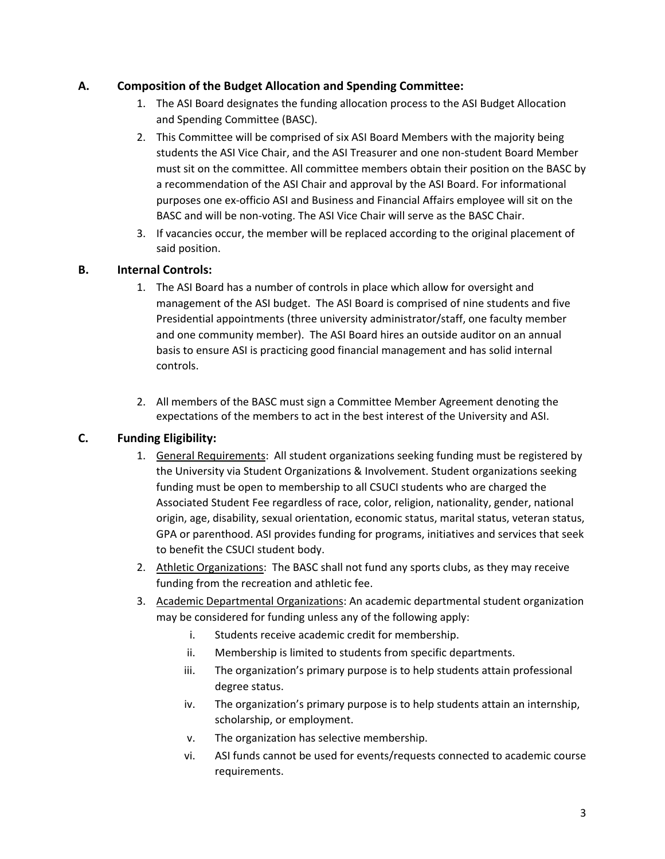#### **A. Composition of the Budget Allocation and Spending Committee:**

- 1. The ASI Board designates the funding allocation process to the ASI Budget Allocation and Spending Committee (BASC).
- 2. This Committee will be comprised of six ASI Board Members with the majority being students the ASI Vice Chair, and the ASI Treasurer and one non-student Board Member must sit on the committee. All committee members obtain their position on the BASC by a recommendation of the ASI Chair and approval by the ASI Board. For informational purposes one ex-officio ASI and Business and Financial Affairs employee will sit on the BASC and will be non-voting. The ASI Vice Chair will serve as the BASC Chair.
- 3. If vacancies occur, the member will be replaced according to the original placement of said position.

#### **B. Internal Controls:**

- 1. The ASI Board has a number of controls in place which allow for oversight and management of the ASI budget. The ASI Board is comprised of nine students and five Presidential appointments (three university administrator/staff, one faculty member and one community member). The ASI Board hires an outside auditor on an annual basis to ensure ASI is practicing good financial management and has solid internal controls.
- 2. All members of the BASC must sign a Committee Member Agreement denoting the expectations of the members to act in the best interest of the University and ASI.

## **C. Funding Eligibility:**

- 1. General Requirements: All student organizations seeking funding must be registered by the University via Student Organizations & Involvement. Student organizations seeking funding must be open to membership to all CSUCI students who are charged the Associated Student Fee regardless of race, color, religion, nationality, gender, national origin, age, disability, sexual orientation, economic status, marital status, veteran status, GPA or parenthood. ASI provides funding for programs, initiatives and services that seek to benefit the CSUCI student body.
- 2. Athletic Organizations: The BASC shall not fund any sports clubs, as they may receive funding from the recreation and athletic fee.
- 3. Academic Departmental Organizations: An academic departmental student organization may be considered for funding unless any of the following apply:
	- i. Students receive academic credit for membership.
	- ii. Membership is limited to students from specific departments.
	- iii. The organization's primary purpose is to help students attain professional degree status.
	- iv. The organization's primary purpose is to help students attain an internship, scholarship, or employment.
	- v. The organization has selective membership.
	- vi. ASI funds cannot be used for events/requests connected to academic course requirements.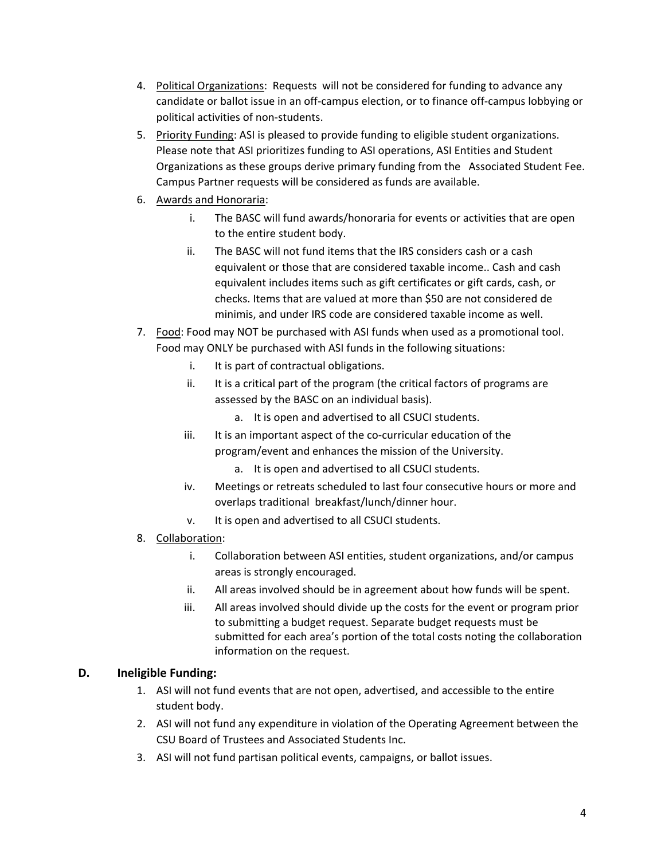- 4. Political Organizations: Requests will not be considered for funding to advance any candidate or ballot issue in an off-campus election, or to finance off-campus lobbying or political activities of non-students.
- 5. Priority Funding: ASI is pleased to provide funding to eligible student organizations. Please note that ASI prioritizes funding to ASI operations, ASI Entities and Student Organizations as these groups derive primary funding from the Associated Student Fee. Campus Partner requests will be considered as funds are available.
- 6. Awards and Honoraria:
	- i. The BASC will fund awards/honoraria for events or activities that are open to the entire student body.
	- ii. The BASC will not fund items that the IRS considers cash or a cash equivalent or those that are considered taxable income.. Cash and cash equivalent includes items such as gift certificates or gift cards, cash, or checks. Items that are valued at more than \$50 are not considered de minimis, and under IRS code are considered taxable income as well.
- 7. Food: Food may NOT be purchased with ASI funds when used as a promotional tool. Food may ONLY be purchased with ASI funds in the following situations:
	- i. It is part of contractual obligations.
	- ii. It is a critical part of the program (the critical factors of programs are assessed by the BASC on an individual basis).
		- a. It is open and advertised to all CSUCI students.
	- iii. It is an important aspect of the co-curricular education of the program/event and enhances the mission of the University.
		- a. It is open and advertised to all CSUCI students.
	- iv. Meetings or retreats scheduled to last four consecutive hours or more and overlaps traditional breakfast/lunch/dinner hour.
	- v. It is open and advertised to all CSUCI students.
- 8. Collaboration:
	- i. Collaboration between ASI entities, student organizations, and/or campus areas is strongly encouraged.
	- ii. All areas involved should be in agreement about how funds will be spent.
	- iii. All areas involved should divide up the costs for the event or program prior to submitting a budget request. Separate budget requests must be submitted for each area's portion of the total costs noting the collaboration information on the request.

#### **D. Ineligible Funding:**

- 1. ASI will not fund events that are not open, advertised, and accessible to the entire student body.
- 2. ASI will not fund any expenditure in violation of the Operating Agreement between the CSU Board of Trustees and Associated Students Inc.
- 3. ASI will not fund partisan political events, campaigns, or ballot issues.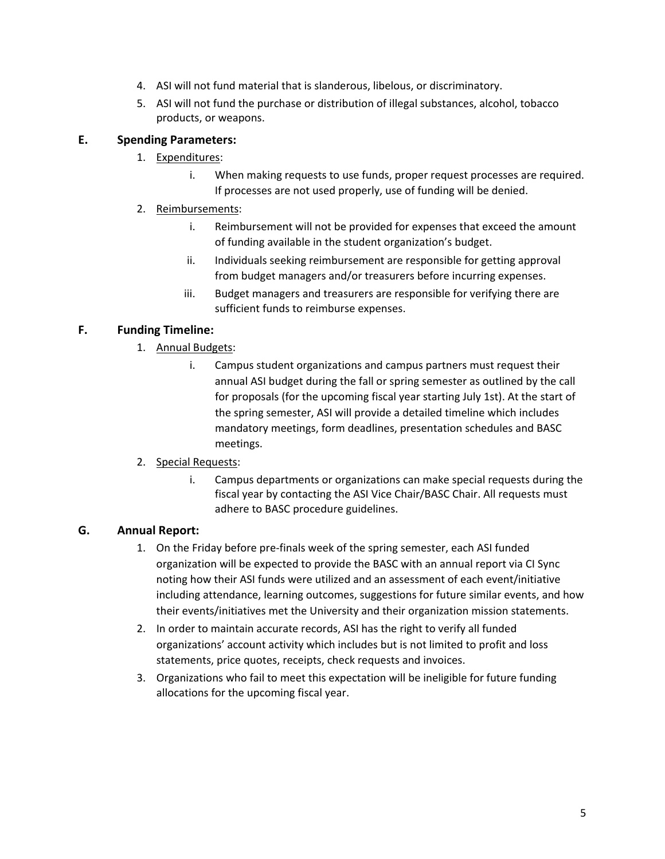- 4. ASI will not fund material that is slanderous, libelous, or discriminatory.
- 5. ASI will not fund the purchase or distribution of illegal substances, alcohol, tobacco products, or weapons.

#### **E. Spending Parameters:**

- 1. Expenditures:
	- i. When making requests to use funds, proper request processes are required. If processes are not used properly, use of funding will be denied.
- 2. Reimbursements:
	- i. Reimbursement will not be provided for expenses that exceed the amount of funding available in the student organization's budget.
	- ii. Individuals seeking reimbursement are responsible for getting approval from budget managers and/or treasurers before incurring expenses.
	- iii. Budget managers and treasurers are responsible for verifying there are sufficient funds to reimburse expenses.

## **F. Funding Timeline:**

- 1. Annual Budgets:
	- i. Campus student organizations and campus partners must request their annual ASI budget during the fall or spring semester as outlined by the call for proposals (for the upcoming fiscal year starting July 1st). At the start of the spring semester, ASI will provide a detailed timeline which includes mandatory meetings, form deadlines, presentation schedules and BASC meetings.
- 2. Special Requests:
	- i. Campus departments or organizations can make special requests during the fiscal year by contacting the ASI Vice Chair/BASC Chair. All requests must adhere to BASC procedure guidelines.

## **G. Annual Report:**

- 1. On the Friday before pre-finals week of the spring semester, each ASI funded organization will be expected to provide the BASC with an annual report via CI Sync noting how their ASI funds were utilized and an assessment of each event/initiative including attendance, learning outcomes, suggestions for future similar events, and how their events/initiatives met the University and their organization mission statements.
- 2. In order to maintain accurate records, ASI has the right to verify all funded organizations' account activity which includes but is not limited to profit and loss statements, price quotes, receipts, check requests and invoices.
- 3. Organizations who fail to meet this expectation will be ineligible for future funding allocations for the upcoming fiscal year.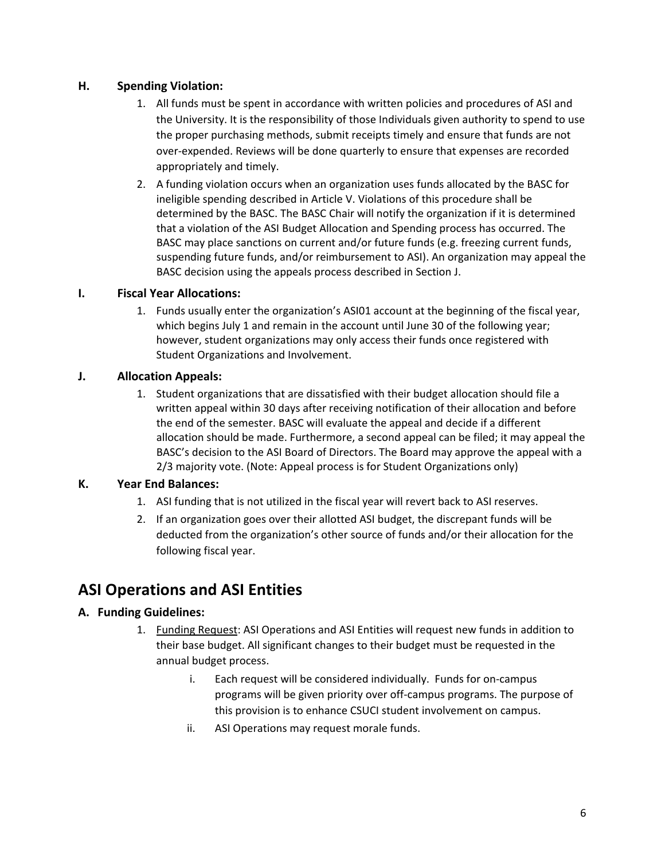## **H. Spending Violation:**

- 1. All funds must be spent in accordance with written policies and procedures of ASI and the University. It is the responsibility of those Individuals given authority to spend to use the proper purchasing methods, submit receipts timely and ensure that funds are not over-expended. Reviews will be done quarterly to ensure that expenses are recorded appropriately and timely.
- 2. A funding violation occurs when an organization uses funds allocated by the BASC for ineligible spending described in Article V. Violations of this procedure shall be determined by the BASC. The BASC Chair will notify the organization if it is determined that a violation of the ASI Budget Allocation and Spending process has occurred. The BASC may place sanctions on current and/or future funds (e.g. freezing current funds, suspending future funds, and/or reimbursement to ASI). An organization may appeal the BASC decision using the appeals process described in Section J.

#### **I. Fiscal Year Allocations:**

1. Funds usually enter the organization's ASI01 account at the beginning of the fiscal year, which begins July 1 and remain in the account until June 30 of the following year; however, student organizations may only access their funds once registered with Student Organizations and Involvement.

#### **J. Allocation Appeals:**

1. Student organizations that are dissatisfied with their budget allocation should file a written appeal within 30 days after receiving notification of their allocation and before the end of the semester. BASC will evaluate the appeal and decide if a different allocation should be made. Furthermore, a second appeal can be filed; it may appeal the BASC's decision to the ASI Board of Directors. The Board may approve the appeal with a 2/3 majority vote. (Note: Appeal process is for Student Organizations only)

#### **K. Year End Balances:**

- 1. ASI funding that is not utilized in the fiscal year will revert back to ASI reserves.
- 2. If an organization goes over their allotted ASI budget, the discrepant funds will be deducted from the organization's other source of funds and/or their allocation for the following fiscal year.

# **ASI Operations and ASI Entities**

## **A. Funding Guidelines:**

- 1. Funding Request: ASI Operations and ASI Entities will request new funds in addition to their base budget. All significant changes to their budget must be requested in the annual budget process.
	- i. Each request will be considered individually. Funds for on-campus programs will be given priority over off-campus programs. The purpose of this provision is to enhance CSUCI student involvement on campus.
	- ii. ASI Operations may request morale funds.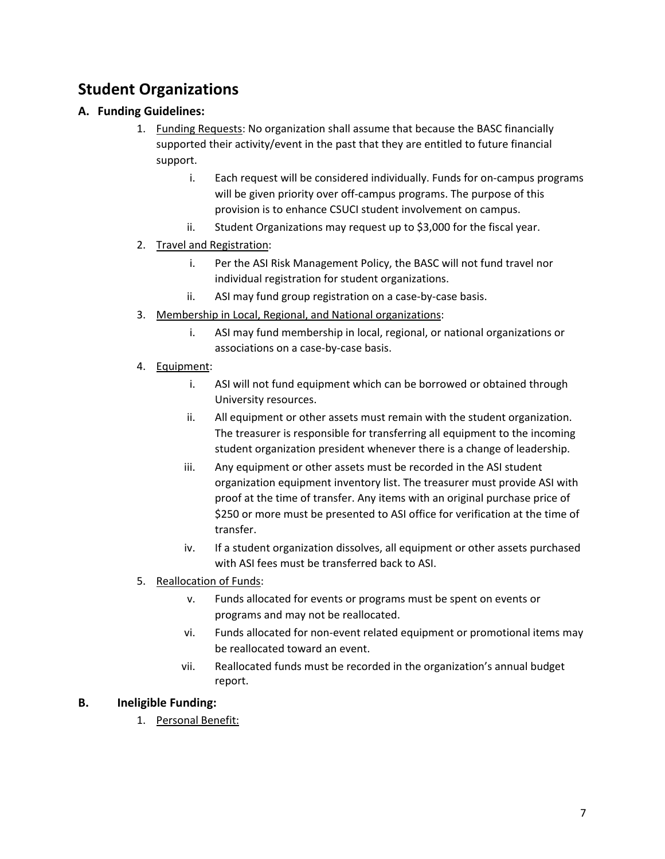# **Student Organizations**

## **A. Funding Guidelines:**

- 1. Funding Requests: No organization shall assume that because the BASC financially supported their activity/event in the past that they are entitled to future financial support.
	- i. Each request will be considered individually. Funds for on-campus programs will be given priority over off-campus programs. The purpose of this provision is to enhance CSUCI student involvement on campus.
	- ii. Student Organizations may request up to \$3,000 for the fiscal year.
- 2. Travel and Registration:
	- i. Per the ASI Risk Management Policy, the BASC will not fund travel nor individual registration for student organizations.
	- ii. ASI may fund group registration on a case-by-case basis.
- 3. Membership in Local, Regional, and National organizations:
	- i. ASI may fund membership in local, regional, or national organizations or associations on a case-by-case basis.
- 4. Equipment:
	- i. ASI will not fund equipment which can be borrowed or obtained through University resources.
	- ii. All equipment or other assets must remain with the student organization. The treasurer is responsible for transferring all equipment to the incoming student organization president whenever there is a change of leadership.
	- iii. Any equipment or other assets must be recorded in the ASI student organization equipment inventory list. The treasurer must provide ASI with proof at the time of transfer. Any items with an original purchase price of \$250 or more must be presented to ASI office for verification at the time of transfer.
	- iv. If a student organization dissolves, all equipment or other assets purchased with ASI fees must be transferred back to ASI.
- 5. Reallocation of Funds:
	- v. Funds allocated for events or programs must be spent on events or programs and may not be reallocated.
	- vi. Funds allocated for non-event related equipment or promotional items may be reallocated toward an event.
	- vii. Reallocated funds must be recorded in the organization's annual budget report.

## **B. Ineligible Funding:**

1. Personal Benefit: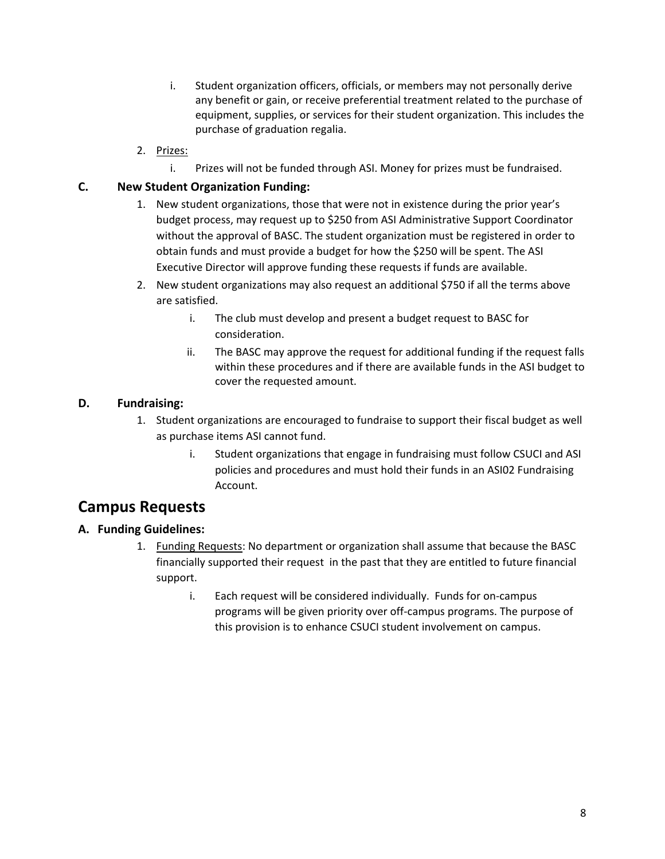- i. Student organization officers, officials, or members may not personally derive any benefit or gain, or receive preferential treatment related to the purchase of equipment, supplies, or services for their student organization. This includes the purchase of graduation regalia.
- 2. Prizes:
	- i. Prizes will not be funded through ASI. Money for prizes must be fundraised.

## **C. New Student Organization Funding:**

- 1. New student organizations, those that were not in existence during the prior year's budget process, may request up to \$250 from ASI Administrative Support Coordinator without the approval of BASC. The student organization must be registered in order to obtain funds and must provide a budget for how the \$250 will be spent. The ASI Executive Director will approve funding these requests if funds are available.
- 2. New student organizations may also request an additional \$750 if all the terms above are satisfied.
	- i. The club must develop and present a budget request to BASC for consideration.
	- ii. The BASC may approve the request for additional funding if the request falls within these procedures and if there are available funds in the ASI budget to cover the requested amount.

#### **D. Fundraising:**

- 1. Student organizations are encouraged to fundraise to support their fiscal budget as well as purchase items ASI cannot fund.
	- i. Student organizations that engage in fundraising must follow CSUCI and ASI policies and procedures and must hold their funds in an ASI02 Fundraising Account.

# **Campus Requests**

## **A. Funding Guidelines:**

- 1. Funding Requests: No department or organization shall assume that because the BASC financially supported their request in the past that they are entitled to future financial support.
	- i. Each request will be considered individually. Funds for on-campus programs will be given priority over off-campus programs. The purpose of this provision is to enhance CSUCI student involvement on campus.